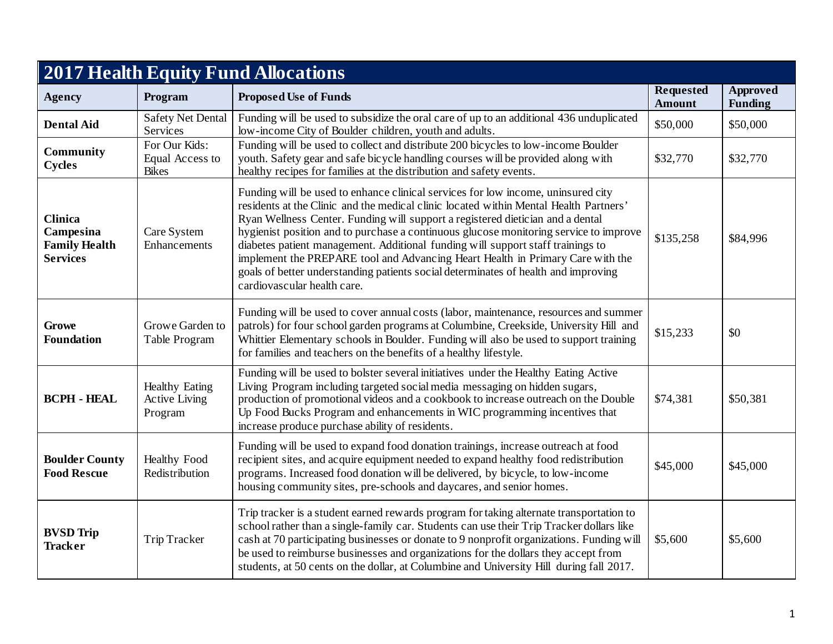| <b>2017 Health Equity Fund Allocations</b>                             |                                                          |                                                                                                                                                                                                                                                                                                                                                                                                                                                                                                                                                                                                                                                |                                   |                            |  |
|------------------------------------------------------------------------|----------------------------------------------------------|------------------------------------------------------------------------------------------------------------------------------------------------------------------------------------------------------------------------------------------------------------------------------------------------------------------------------------------------------------------------------------------------------------------------------------------------------------------------------------------------------------------------------------------------------------------------------------------------------------------------------------------------|-----------------------------------|----------------------------|--|
| <b>Agency</b>                                                          | Program                                                  | <b>Proposed Use of Funds</b>                                                                                                                                                                                                                                                                                                                                                                                                                                                                                                                                                                                                                   | <b>Requested</b><br><b>Amount</b> | Approved<br><b>Funding</b> |  |
| <b>Dental Aid</b>                                                      | <b>Safety Net Dental</b><br>Services                     | Funding will be used to subsidize the oral care of up to an additional 436 unduplicated<br>low-income City of Boulder children, youth and adults.                                                                                                                                                                                                                                                                                                                                                                                                                                                                                              | \$50,000                          | \$50,000                   |  |
| <b>Community</b><br><b>Cycles</b>                                      | For Our Kids:<br>Equal Access to<br><b>Bikes</b>         | Funding will be used to collect and distribute 200 bicycles to low-income Boulder<br>youth. Safety gear and safe bicycle handling courses will be provided along with<br>healthy recipes for families at the distribution and safety events.                                                                                                                                                                                                                                                                                                                                                                                                   | \$32,770                          | \$32,770                   |  |
| <b>Clinica</b><br>Campesina<br><b>Family Health</b><br><b>Services</b> | Care System<br>Enhancements                              | Funding will be used to enhance clinical services for low income, uninsured city<br>residents at the Clinic and the medical clinic located within Mental Health Partners'<br>Ryan Wellness Center. Funding will support a registered dietician and a dental<br>hygienist position and to purchase a continuous glucose monitoring service to improve<br>diabetes patient management. Additional funding will support staff trainings to<br>implement the PREPARE tool and Advancing Heart Health in Primary Care with the<br>goals of better understanding patients social determinates of health and improving<br>cardiovascular health care. | \$135,258                         | \$84,996                   |  |
| <b>Growe</b><br><b>Foundation</b>                                      | Growe Garden to<br>Table Program                         | Funding will be used to cover annual costs (labor, maintenance, resources and summer<br>patrols) for four school garden programs at Columbine, Creekside, University Hill and<br>Whittier Elementary schools in Boulder. Funding will also be used to support training<br>for families and teachers on the benefits of a healthy lifestyle.                                                                                                                                                                                                                                                                                                    | \$15,233                          | \$0                        |  |
| <b>BCPH - HEAL</b>                                                     | <b>Healthy Eating</b><br><b>Active Living</b><br>Program | Funding will be used to bolster several initiatives under the Healthy Eating Active<br>Living Program including targeted social media messaging on hidden sugars,<br>production of promotional videos and a cookbook to increase outreach on the Double<br>Up Food Bucks Program and enhancements in WIC programming incentives that<br>increase produce purchase ability of residents.                                                                                                                                                                                                                                                        | \$74,381                          | \$50,381                   |  |
| <b>Boulder County</b><br><b>Food Rescue</b>                            | <b>Healthy Food</b><br>Redistribution                    | Funding will be used to expand food donation trainings, increase outreach at food<br>recipient sites, and acquire equipment needed to expand healthy food redistribution<br>programs. Increased food donation will be delivered, by bicycle, to low-income<br>housing community sites, pre-schools and daycares, and senior homes.                                                                                                                                                                                                                                                                                                             | \$45,000                          | \$45,000                   |  |
| <b>BVSD Trip</b><br><b>Tracker</b>                                     | Trip Tracker                                             | Trip tracker is a student earned rewards program for taking alternate transportation to<br>school rather than a single-family car. Students can use their Trip Tracker dollars like<br>cash at 70 participating businesses or donate to 9 nonprofit organizations. Funding will<br>be used to reimburse businesses and organizations for the dollars they accept from<br>students, at 50 cents on the dollar, at Columbine and University Hill during fall 2017.                                                                                                                                                                               | \$5,600                           | \$5,600                    |  |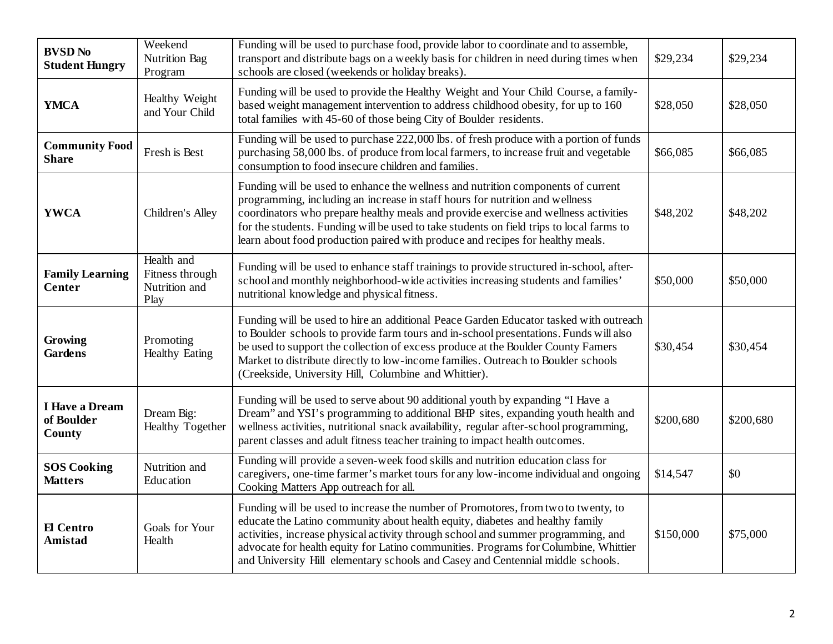| <b>BVSD No</b><br><b>Student Hungry</b>       | Weekend<br><b>Nutrition Bag</b><br>Program             | Funding will be used to purchase food, provide labor to coordinate and to assemble,<br>transport and distribute bags on a weekly basis for children in need during times when<br>schools are closed (weekends or holiday breaks).                                                                                                                                                                                                     | \$29,234  | \$29,234  |
|-----------------------------------------------|--------------------------------------------------------|---------------------------------------------------------------------------------------------------------------------------------------------------------------------------------------------------------------------------------------------------------------------------------------------------------------------------------------------------------------------------------------------------------------------------------------|-----------|-----------|
| <b>YMCA</b>                                   | Healthy Weight<br>and Your Child                       | Funding will be used to provide the Healthy Weight and Your Child Course, a family-<br>based weight management intervention to address childhood obesity, for up to 160<br>total families with 45-60 of those being City of Boulder residents.                                                                                                                                                                                        | \$28,050  | \$28,050  |
| <b>Community Food</b><br><b>Share</b>         | Fresh is Best                                          | Funding will be used to purchase 222,000 lbs. of fresh produce with a portion of funds<br>purchasing 58,000 lbs. of produce from local farmers, to increase fruit and vegetable<br>consumption to food insecure children and families.                                                                                                                                                                                                | \$66,085  | \$66,085  |
| <b>YWCA</b>                                   | Children's Alley                                       | Funding will be used to enhance the wellness and nutrition components of current<br>programming, including an increase in staff hours for nutrition and wellness<br>coordinators who prepare healthy meals and provide exercise and wellness activities<br>for the students. Funding will be used to take students on field trips to local farms to<br>learn about food production paired with produce and recipes for healthy meals. | \$48,202  | \$48,202  |
| <b>Family Learning</b><br><b>Center</b>       | Health and<br>Fitness through<br>Nutrition and<br>Play | Funding will be used to enhance staff trainings to provide structured in-school, after-<br>school and monthly neighborhood-wide activities increasing students and families'<br>nutritional knowledge and physical fitness.                                                                                                                                                                                                           | \$50,000  | \$50,000  |
| Growing<br><b>Gardens</b>                     | Promoting<br><b>Healthy Eating</b>                     | Funding will be used to hire an additional Peace Garden Educator tasked with outreach<br>to Boulder schools to provide farm tours and in-school presentations. Funds will also<br>be used to support the collection of excess produce at the Boulder County Famers<br>Market to distribute directly to low-income families. Outreach to Boulder schools<br>(Creekside, University Hill, Columbine and Whittier).                      | \$30,454  | \$30,454  |
| <b>I Have a Dream</b><br>of Boulder<br>County | Dream Big:<br>Healthy Together                         | Funding will be used to serve about 90 additional youth by expanding "I Have a<br>Dream" and YSI's programming to additional BHP sites, expanding youth health and<br>wellness activities, nutritional snack availability, regular after-school programming,<br>parent classes and adult fitness teacher training to impact health outcomes.                                                                                          | \$200,680 | \$200,680 |
| <b>SOS Cooking</b><br><b>Matters</b>          | Nutrition and<br>Education                             | Funding will provide a seven-week food skills and nutrition education class for<br>caregivers, one-time farmer's market tours for any low-income individual and ongoing<br>Cooking Matters App outreach for all.                                                                                                                                                                                                                      | \$14,547  | \$0       |
| El Centro<br>Amistad                          | Goals for Your<br>Health                               | Funding will be used to increase the number of Promotores, from two to twenty, to<br>educate the Latino community about health equity, diabetes and healthy family<br>activities, increase physical activity through school and summer programming, and<br>advocate for health equity for Latino communities. Programs for Columbine, Whittier<br>and University Hill elementary schools and Casey and Centennial middle schools.     | \$150,000 | \$75,000  |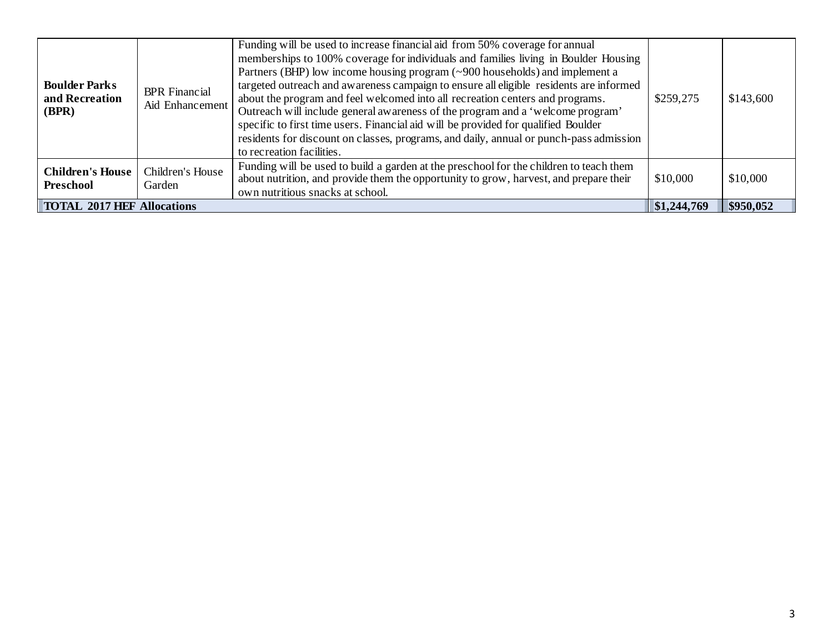| <b>Boulder Parks</b><br>and Recreation<br>(BPR) | <b>BPR</b> Financial<br>Aid Enhancement | Funding will be used to increase financial aid from 50% coverage for annual<br>memberships to 100% coverage for individuals and families living in Boulder Housing<br>Partners (BHP) low income housing program (~900 households) and implement a<br>targeted outreach and awareness campaign to ensure all eligible residents are informed<br>about the program and feel welcomed into all recreation centers and programs.<br>Outreach will include general awareness of the program and a 'welcome program'<br>specific to first time users. Financial aid will be provided for qualified Boulder<br>residents for discount on classes, programs, and daily, annual or punch-pass admission<br>to recreation facilities. | \$259,275   | \$143,600 |
|-------------------------------------------------|-----------------------------------------|-----------------------------------------------------------------------------------------------------------------------------------------------------------------------------------------------------------------------------------------------------------------------------------------------------------------------------------------------------------------------------------------------------------------------------------------------------------------------------------------------------------------------------------------------------------------------------------------------------------------------------------------------------------------------------------------------------------------------------|-------------|-----------|
| <b>Children's House</b><br>Preschool            | Children's House<br>Garden              | Funding will be used to build a garden at the preschool for the children to teach them<br>about nutrition, and provide them the opportunity to grow, harvest, and prepare their<br>own nutritious snacks at school.                                                                                                                                                                                                                                                                                                                                                                                                                                                                                                         | \$10,000    | \$10,000  |
| <b>TOTAL 2017 HEF Allocations</b>               |                                         |                                                                                                                                                                                                                                                                                                                                                                                                                                                                                                                                                                                                                                                                                                                             | \$1,244,769 | \$950,052 |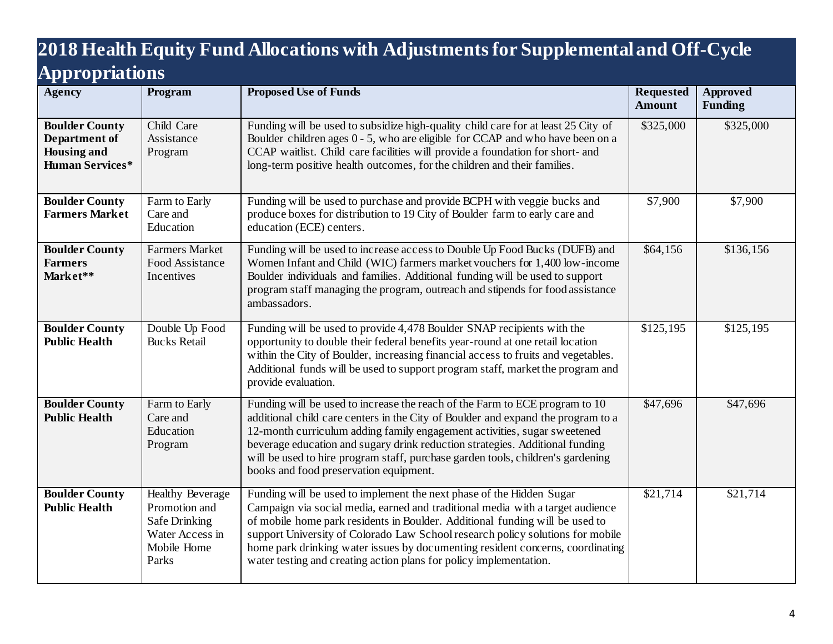## **2018 Health Equity Fund Allocations with Adjustments for Supplemental and Off-Cycle Appropriations**

| 1 L .<br>Agency                                                                        | Program                                                                                              | <b>Proposed Use of Funds</b>                                                                                                                                                                                                                                                                                                                                                                                                                                                     | <b>Requested</b><br><b>Amount</b> | Approved<br><b>Funding</b> |
|----------------------------------------------------------------------------------------|------------------------------------------------------------------------------------------------------|----------------------------------------------------------------------------------------------------------------------------------------------------------------------------------------------------------------------------------------------------------------------------------------------------------------------------------------------------------------------------------------------------------------------------------------------------------------------------------|-----------------------------------|----------------------------|
| <b>Boulder County</b><br>Department of<br><b>Housing and</b><br><b>Human Services*</b> | Child Care<br>Assistance<br>Program                                                                  | Funding will be used to subsidize high-quality child care for at least 25 City of<br>Boulder children ages 0 - 5, who are eligible for CCAP and who have been on a<br>CCAP waitlist. Child care facilities will provide a foundation for short- and<br>long-term positive health outcomes, for the children and their families.                                                                                                                                                  | \$325,000                         | \$325,000                  |
| <b>Boulder County</b><br><b>Farmers Market</b>                                         | Farm to Early<br>Care and<br>Education                                                               | Funding will be used to purchase and provide BCPH with veggie bucks and<br>produce boxes for distribution to 19 City of Boulder farm to early care and<br>education (ECE) centers.                                                                                                                                                                                                                                                                                               | \$7,900                           | \$7,900                    |
| <b>Boulder County</b><br><b>Farmers</b><br>Market**                                    | <b>Farmers Market</b><br>Food Assistance<br>Incentives                                               | Funding will be used to increase access to Double Up Food Bucks (DUFB) and<br>Women Infant and Child (WIC) farmers market vouchers for 1,400 low-income<br>Boulder individuals and families. Additional funding will be used to support<br>program staff managing the program, outreach and stipends for food assistance<br>ambassadors.                                                                                                                                         | \$64,156                          | \$136,156                  |
| <b>Boulder County</b><br><b>Public Health</b>                                          | Double Up Food<br><b>Bucks Retail</b>                                                                | Funding will be used to provide 4,478 Boulder SNAP recipients with the<br>opportunity to double their federal benefits year-round at one retail location<br>within the City of Boulder, increasing financial access to fruits and vegetables.<br>Additional funds will be used to support program staff, market the program and<br>provide evaluation.                                                                                                                           | \$125,195                         | \$125,195                  |
| <b>Boulder County</b><br><b>Public Health</b>                                          | Farm to Early<br>Care and<br>Education<br>Program                                                    | Funding will be used to increase the reach of the Farm to ECE program to 10<br>additional child care centers in the City of Boulder and expand the program to a<br>12-month curriculum adding family engagement activities, sugar sweetened<br>beverage education and sugary drink reduction strategies. Additional funding<br>will be used to hire program staff, purchase garden tools, children's gardening<br>books and food preservation equipment.                         | \$47,696                          | \$47,696                   |
| <b>Boulder County</b><br><b>Public Health</b>                                          | <b>Healthy Beverage</b><br>Promotion and<br>Safe Drinking<br>Water Access in<br>Mobile Home<br>Parks | Funding will be used to implement the next phase of the Hidden Sugar<br>Campaign via social media, earned and traditional media with a target audience<br>of mobile home park residents in Boulder. Additional funding will be used to<br>support University of Colorado Law School research policy solutions for mobile<br>home park drinking water issues by documenting resident concerns, coordinating<br>water testing and creating action plans for policy implementation. | \$21,714                          | \$21,714                   |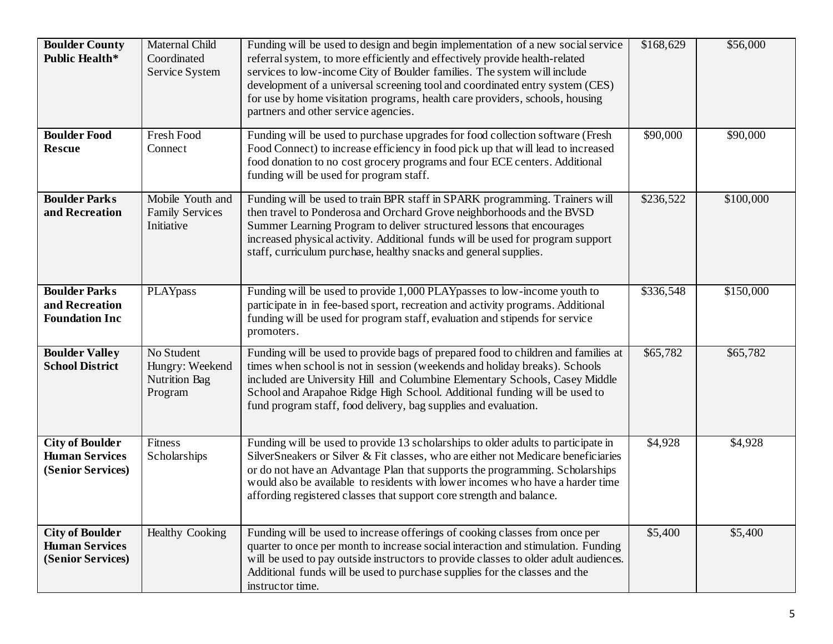| <b>Boulder County</b><br><b>Public Health*</b>                       | Maternal Child<br>Coordinated<br>Service System                  | Funding will be used to design and begin implementation of a new social service<br>referral system, to more efficiently and effectively provide health-related<br>services to low-income City of Boulder families. The system will include<br>development of a universal screening tool and coordinated entry system (CES)<br>for use by home visitation programs, health care providers, schools, housing<br>partners and other service agencies. | \$168,629 | \$56,000  |
|----------------------------------------------------------------------|------------------------------------------------------------------|----------------------------------------------------------------------------------------------------------------------------------------------------------------------------------------------------------------------------------------------------------------------------------------------------------------------------------------------------------------------------------------------------------------------------------------------------|-----------|-----------|
| <b>Boulder Food</b><br><b>Rescue</b>                                 | Fresh Food<br>Connect                                            | Funding will be used to purchase upgrades for food collection software (Fresh<br>Food Connect) to increase efficiency in food pick up that will lead to increased<br>food donation to no cost grocery programs and four ECE centers. Additional<br>funding will be used for program staff.                                                                                                                                                         | \$90,000  | \$90,000  |
| <b>Boulder Parks</b><br>and Recreation                               | Mobile Youth and<br><b>Family Services</b><br>Initiative         | Funding will be used to train BPR staff in SPARK programming. Trainers will<br>then travel to Ponderosa and Orchard Grove neighborhoods and the BVSD<br>Summer Learning Program to deliver structured lessons that encourages<br>increased physical activity. Additional funds will be used for program support<br>staff, curriculum purchase, healthy snacks and general supplies.                                                                | \$236,522 | \$100,000 |
| <b>Boulder Parks</b><br>and Recreation<br><b>Foundation Inc</b>      | PLAYpass                                                         | Funding will be used to provide 1,000 PLAYpasses to low-income youth to<br>participate in in fee-based sport, recreation and activity programs. Additional<br>funding will be used for program staff, evaluation and stipends for service<br>promoters.                                                                                                                                                                                            | \$336,548 | \$150,000 |
| <b>Boulder Valley</b><br><b>School District</b>                      | No Student<br>Hungry: Weekend<br><b>Nutrition Bag</b><br>Program | Funding will be used to provide bags of prepared food to children and families at<br>times when school is not in session (weekends and holiday breaks). Schools<br>included are University Hill and Columbine Elementary Schools, Casey Middle<br>School and Arapahoe Ridge High School. Additional funding will be used to<br>fund program staff, food delivery, bag supplies and evaluation.                                                     | \$65,782  | \$65,782  |
| <b>City of Boulder</b><br><b>Human Services</b><br>(Senior Services) | Fitness<br>Scholarships                                          | Funding will be used to provide 13 scholarships to older adults to participate in<br>SilverSneakers or Silver & Fit classes, who are either not Medicare beneficiaries<br>or do not have an Advantage Plan that supports the programming. Scholarships<br>would also be available to residents with lower incomes who have a harder time<br>affording registered classes that support core strength and balance.                                   | \$4,928   | \$4,928   |
| <b>City of Boulder</b><br><b>Human Services</b><br>(Senior Services) | <b>Healthy Cooking</b>                                           | Funding will be used to increase offerings of cooking classes from once per<br>quarter to once per month to increase social interaction and stimulation. Funding<br>will be used to pay outside instructors to provide classes to older adult audiences.<br>Additional funds will be used to purchase supplies for the classes and the<br>instructor time.                                                                                         | \$5,400   | \$5,400   |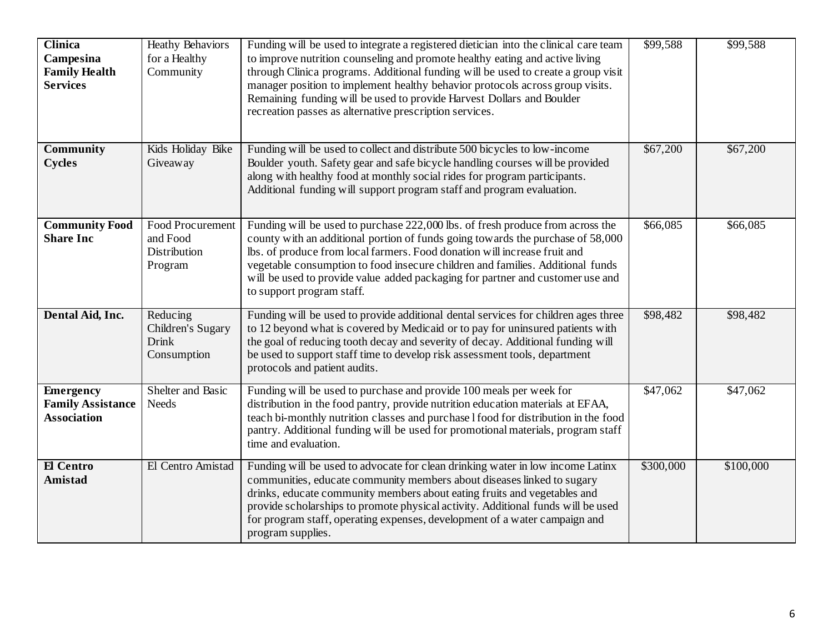| <b>Clinica</b><br>Campesina<br><b>Family Health</b><br><b>Services</b> | <b>Heathy Behaviors</b><br>for a Healthy<br>Community          | Funding will be used to integrate a registered dietician into the clinical care team<br>to improve nutrition counseling and promote healthy eating and active living<br>through Clinica programs. Additional funding will be used to create a group visit<br>manager position to implement healthy behavior protocols across group visits.<br>Remaining funding will be used to provide Harvest Dollars and Boulder<br>recreation passes as alternative prescription services. | \$99,588  | \$99,588  |
|------------------------------------------------------------------------|----------------------------------------------------------------|--------------------------------------------------------------------------------------------------------------------------------------------------------------------------------------------------------------------------------------------------------------------------------------------------------------------------------------------------------------------------------------------------------------------------------------------------------------------------------|-----------|-----------|
| Community<br><b>Cycles</b>                                             | Kids Holiday Bike<br>Giveaway                                  | Funding will be used to collect and distribute 500 bicycles to low-income<br>Boulder youth. Safety gear and safe bicycle handling courses will be provided<br>along with healthy food at monthly social rides for program participants.<br>Additional funding will support program staff and program evaluation.                                                                                                                                                               | \$67,200  | \$67,200  |
| <b>Community Food</b><br><b>Share Inc</b>                              | <b>Food Procurement</b><br>and Food<br>Distribution<br>Program | Funding will be used to purchase 222,000 lbs. of fresh produce from across the<br>county with an additional portion of funds going towards the purchase of 58,000<br>lbs. of produce from local farmers. Food donation will increase fruit and<br>vegetable consumption to food insecure children and families. Additional funds<br>will be used to provide value added packaging for partner and customer use and<br>to support program staff.                                | \$66,085  | \$66,085  |
| Dental Aid, Inc.                                                       | Reducing<br>Children's Sugary<br><b>Drink</b><br>Consumption   | Funding will be used to provide additional dental services for children ages three<br>to 12 beyond what is covered by Medicaid or to pay for uninsured patients with<br>the goal of reducing tooth decay and severity of decay. Additional funding will<br>be used to support staff time to develop risk assessment tools, department<br>protocols and patient audits.                                                                                                         | \$98,482  | \$98,482  |
| <b>Emergency</b><br><b>Family Assistance</b><br><b>Association</b>     | Shelter and Basic<br><b>Needs</b>                              | Funding will be used to purchase and provide 100 meals per week for<br>distribution in the food pantry, provide nutrition education materials at EFAA,<br>teach bi-monthly nutrition classes and purchase I food for distribution in the food<br>pantry. Additional funding will be used for promotional materials, program staff<br>time and evaluation.                                                                                                                      | \$47,062  | \$47,062  |
| El Centro<br>Amistad                                                   | El Centro Amistad                                              | Funding will be used to advocate for clean drinking water in low income Latinx<br>communities, educate community members about diseases linked to sugary<br>drinks, educate community members about eating fruits and vegetables and<br>provide scholarships to promote physical activity. Additional funds will be used<br>for program staff, operating expenses, development of a water campaign and<br>program supplies.                                                    | \$300,000 | \$100,000 |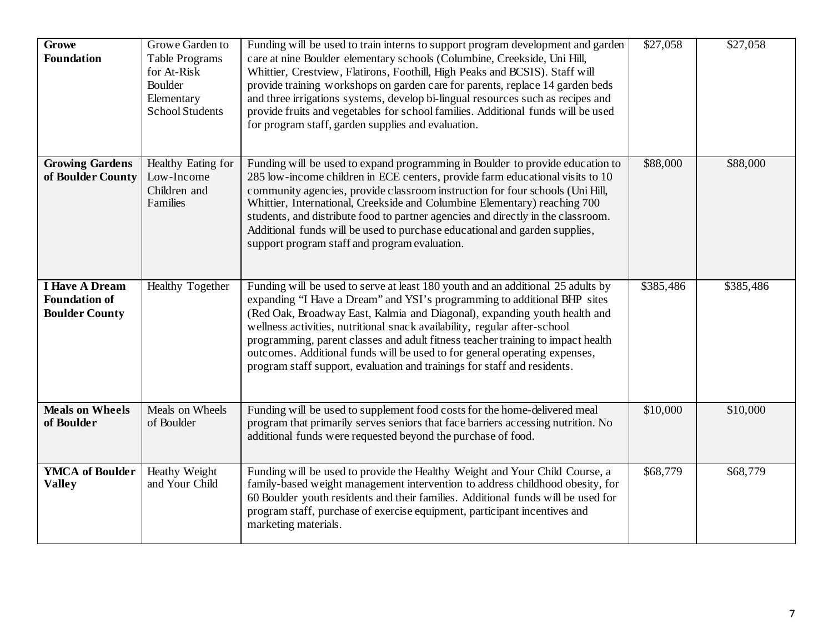| Growe<br><b>Foundation</b>                                             | Growe Garden to<br>Table Programs<br>for At-Risk<br>Boulder<br>Elementary<br>School Students | Funding will be used to train interns to support program development and garden<br>care at nine Boulder elementary schools (Columbine, Creekside, Uni Hill,<br>Whittier, Crestview, Flatirons, Foothill, High Peaks and BCSIS). Staff will<br>provide training workshops on garden care for parents, replace 14 garden beds<br>and three irrigations systems, develop bi-lingual resources such as recipes and<br>provide fruits and vegetables for school families. Additional funds will be used<br>for program staff, garden supplies and evaluation.           | $\sqrt{$27,058}$ | \$27,058  |
|------------------------------------------------------------------------|----------------------------------------------------------------------------------------------|--------------------------------------------------------------------------------------------------------------------------------------------------------------------------------------------------------------------------------------------------------------------------------------------------------------------------------------------------------------------------------------------------------------------------------------------------------------------------------------------------------------------------------------------------------------------|------------------|-----------|
| <b>Growing Gardens</b><br>of Boulder County                            | Healthy Eating for<br>Low-Income<br>Children and<br>Families                                 | Funding will be used to expand programming in Boulder to provide education to<br>285 low-income children in ECE centers, provide farm educational visits to 10<br>community agencies, provide classroom instruction for four schools (Uni Hill,<br>Whittier, International, Creekside and Columbine Elementary) reaching 700<br>students, and distribute food to partner agencies and directly in the classroom.<br>Additional funds will be used to purchase educational and garden supplies,<br>support program staff and program evaluation.                    | \$88,000         | \$88,000  |
| <b>I Have A Dream</b><br><b>Foundation of</b><br><b>Boulder County</b> | <b>Healthy Together</b>                                                                      | Funding will be used to serve at least 180 youth and an additional 25 adults by<br>expanding "I Have a Dream" and YSI's programming to additional BHP sites<br>(Red Oak, Broadway East, Kalmia and Diagonal), expanding youth health and<br>wellness activities, nutritional snack availability, regular after-school<br>programming, parent classes and adult fitness teacher training to impact health<br>outcomes. Additional funds will be used to for general operating expenses,<br>program staff support, evaluation and trainings for staff and residents. | \$385,486        | \$385,486 |
| <b>Meals on Wheels</b><br>of Boulder                                   | Meals on Wheels<br>of Boulder                                                                | Funding will be used to supplement food costs for the home-delivered meal<br>program that primarily serves seniors that face barriers accessing nutrition. No<br>additional funds were requested beyond the purchase of food.                                                                                                                                                                                                                                                                                                                                      | \$10,000         | \$10,000  |
| <b>YMCA</b> of Boulder<br><b>Valley</b>                                | Heathy Weight<br>and Your Child                                                              | Funding will be used to provide the Healthy Weight and Your Child Course, a<br>family-based weight management intervention to address childhood obesity, for<br>60 Boulder youth residents and their families. Additional funds will be used for<br>program staff, purchase of exercise equipment, participant incentives and<br>marketing materials.                                                                                                                                                                                                              | \$68,779         | \$68,779  |